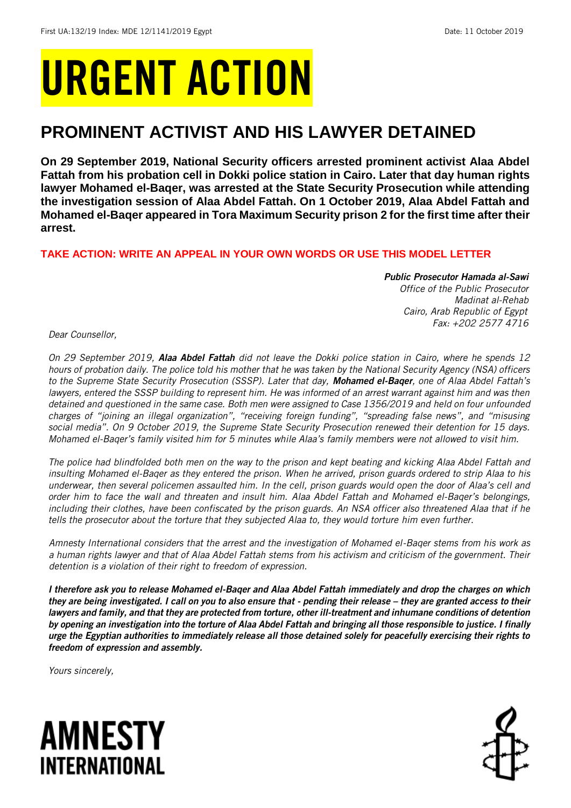# URGENT ACTION

## **PROMINENT ACTIVIST AND HIS LAWYER DETAINED**

**On 29 September 2019, National Security officers arrested prominent activist Alaa Abdel Fattah from his probation cell in Dokki police station in Cairo. Later that day human rights lawyer Mohamed el-Baqer, was arrested at the State Security Prosecution while attending the investigation session of Alaa Abdel Fattah. On 1 October 2019, Alaa Abdel Fattah and Mohamed el-Baqer appeared in Tora Maximum Security prison 2 for the first time after their arrest.** 

## **TAKE ACTION: WRITE AN APPEAL IN YOUR OWN WORDS OR USE THIS MODEL LETTER**

## *Public Prosecutor Hamada al-Sawi*

*Office of the Public Prosecutor Madinat al-Rehab Cairo, Arab Republic of Egypt Fax: +202 2577 4716*

*Dear Counsellor,*

*On 29 September 2019, Alaa Abdel Fattah did not leave the Dokki police station in Cairo, where he spends 12 hours of probation daily. The police told his mother that he was taken by the National Security Agency (NSA) officers to the Supreme State Security Prosecution (SSSP). Later that day, Mohamed el-Baqer, one of Alaa Abdel Fattah's*  lawyers, entered the SSSP building to represent him. He was informed of an arrest warrant against him and was then *detained and questioned in the same case. Both men were assigned to Case 1356/2019 and held on four unfounded charges of "joining an illegal organization", "receiving foreign funding", "spreading false news", and "misusing social media". On 9 October 2019, the Supreme State Security Prosecution renewed their detention for 15 days. Mohamed el-Baqer's family visited him for 5 minutes while Alaa's family members were not allowed to visit him.*

*The police had blindfolded both men on the way to the prison and kept beating and kicking Alaa Abdel Fattah and insulting Mohamed el-Baqer as they entered the prison. When he arrived, prison guards ordered to strip Alaa to his underwear, then several policemen assaulted him. In the cell, prison guards would open the door of Alaa's cell and order him to face the wall and threaten and insult him. Alaa Abdel Fattah and Mohamed el-Baqer's belongings, including their clothes, have been confiscated by the prison guards. An NSA officer also threatened Alaa that if he tells the prosecutor about the torture that they subjected Alaa to, they would torture him even further.*

*Amnesty International considers that the arrest and the investigation of Mohamed el-Baqer stems from his work as a human rights lawyer and that of Alaa Abdel Fattah stems from his activism and criticism of the government. Their detention is a violation of their right to freedom of expression.* 

*I therefore ask you to release Mohamed el-Baqer and Alaa Abdel Fattah immediately and drop the charges on which they are being investigated. I call on you to also ensure that - pending their release – they are granted access to their lawyers and family, and that they are protected from torture, other ill-treatment and inhumane conditions of detention by opening an investigation into the torture of Alaa Abdel Fattah and bringing all those responsible to justice. I finally urge the Egyptian authorities to immediately release all those detained solely for peacefully exercising their rights to freedom of expression and assembly.*

*Yours sincerely,*